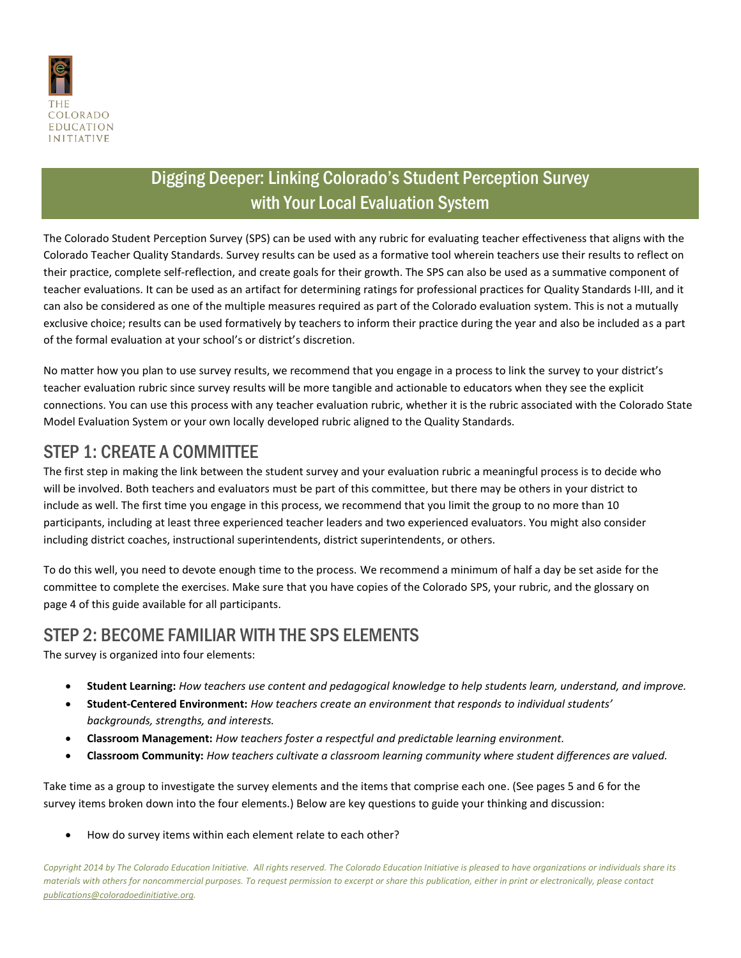

## Digging Deeper: Linking Colorado's Student Perception Survey with Your Local Evaluation System

The Colorado Student Perception Survey (SPS) can be used with any rubric for evaluating teacher effectiveness that aligns with the Colorado Teacher Quality Standards. Survey results can be used as a formative tool wherein teachers use their results to reflect on their practice, complete self-reflection, and create goals for their growth. The SPS can also be used as a summative component of teacher evaluations. It can be used as an artifact for determining ratings for professional practices for Quality Standards I-III, and it can also be considered as one of the multiple measures required as part of the Colorado evaluation system. This is not a mutually exclusive choice; results can be used formatively by teachers to inform their practice during the year and also be included as a part of the formal evaluation at your school's or district's discretion.

No matter how you plan to use survey results, we recommend that you engage in a process to link the survey to your district's teacher evaluation rubric since survey results will be more tangible and actionable to educators when they see the explicit connections. You can use this process with any teacher evaluation rubric, whether it is the rubric associated with the Colorado State Model Evaluation System or your own locally developed rubric aligned to the Quality Standards.

## STEP 1: CREATE A COMMITTEE

The first step in making the link between the student survey and your evaluation rubric a meaningful process is to decide who will be involved. Both teachers and evaluators must be part of this committee, but there may be others in your district to include as well. The first time you engage in this process, we recommend that you limit the group to no more than 10 participants, including at least three experienced teacher leaders and two experienced evaluators. You might also consider including district coaches, instructional superintendents, district superintendents, or others.

To do this well, you need to devote enough time to the process. We recommend a minimum of half a day be set aside for the committee to complete the exercises. Make sure that you have copies of the Colorado SPS, your rubric, and the glossary on page 4 of this guide available for all participants.

### STEP 2: BECOME FAMILIAR WITH THE SPS ELEMENTS

The survey is organized into four elements:

- **Student Learning:** *How teachers use content and pedagogical knowledge to help students learn, understand, and improve.*
- **Student-Centered Environment:** *How teachers create an environment that responds to individual students' backgrounds, strengths, and interests.*
- **Classroom Management:** *How teachers foster a respectful and predictable learning environment.*
- **Classroom Community:** *How teachers cultivate a classroom learning community where student differences are valued.*

Take time as a group to investigate the survey elements and the items that comprise each one. (See pages 5 and 6 for the survey items broken down into the four elements.) Below are key questions to guide your thinking and discussion:

How do survey items within each element relate to each other?

*Copyright 2014 by The Colorado Education Initiative. All rights reserved. The Colorado Education Initiative is pleased to have organizations or individuals share its materials with others for noncommercial purposes. To request permission to excerpt or share this publication, either in print or electronically, please contact publications@coloradoedinitiative.org.*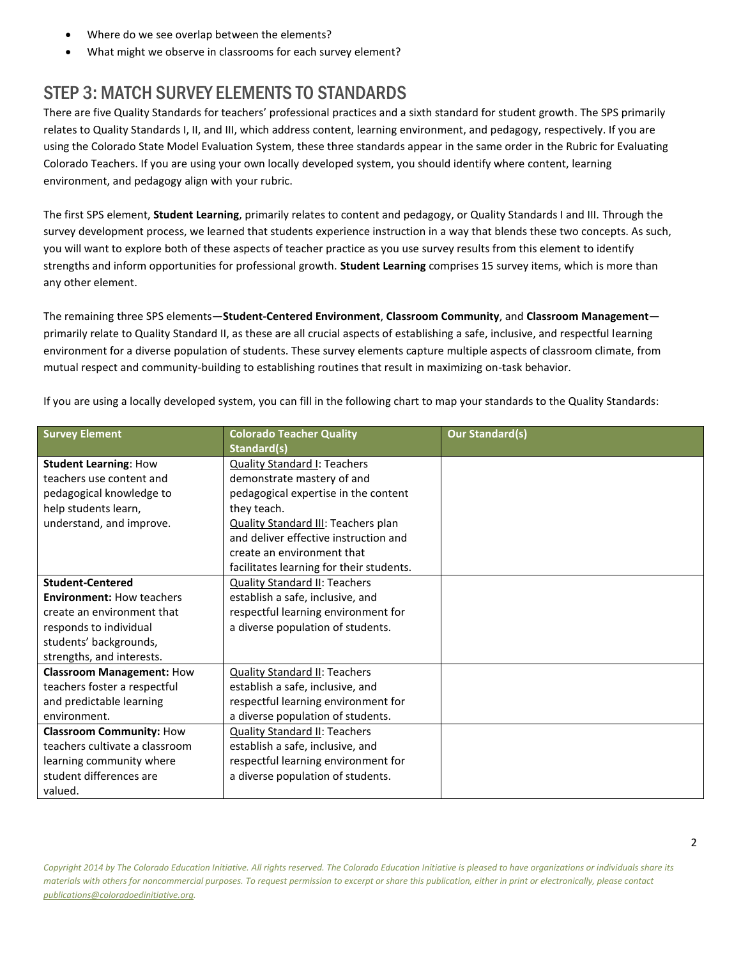- Where do we see overlap between the elements?
- What might we observe in classrooms for each survey element?

# STEP 3: MATCH SURVEY ELEMENTS TO STANDARDS

There are five Quality Standards for teachers' professional practices and a sixth standard for student growth. The SPS primarily relates to Quality Standards I, II, and III, which address content, learning environment, and pedagogy, respectively. If you are using the Colorado State Model Evaluation System, these three standards appear in the same order in the Rubric for Evaluating Colorado Teachers. If you are using your own locally developed system, you should identify where content, learning environment, and pedagogy align with your rubric.

The first SPS element, **Student Learning**, primarily relates to content and pedagogy, or Quality Standards I and III. Through the survey development process, we learned that students experience instruction in a way that blends these two concepts. As such, you will want to explore both of these aspects of teacher practice as you use survey results from this element to identify strengths and inform opportunities for professional growth. **Student Learning** comprises 15 survey items, which is more than any other element.

The remaining three SPS elements—**Student-Centered Environment**, **Classroom Community**, and **Classroom Management** primarily relate to Quality Standard II, as these are all crucial aspects of establishing a safe, inclusive, and respectful learning environment for a diverse population of students. These survey elements capture multiple aspects of classroom climate, from mutual respect and community-building to establishing routines that result in maximizing on-task behavior.

| <b>Survey Element</b>            | <b>Colorado Teacher Quality</b>            | <b>Our Standard(s)</b> |
|----------------------------------|--------------------------------------------|------------------------|
|                                  | Standard(s)                                |                        |
| <b>Student Learning: How</b>     | <b>Quality Standard I: Teachers</b>        |                        |
| teachers use content and         | demonstrate mastery of and                 |                        |
| pedagogical knowledge to         | pedagogical expertise in the content       |                        |
| help students learn,             | they teach.                                |                        |
| understand, and improve.         | <b>Quality Standard III: Teachers plan</b> |                        |
|                                  | and deliver effective instruction and      |                        |
|                                  | create an environment that                 |                        |
|                                  | facilitates learning for their students.   |                        |
| <b>Student-Centered</b>          | <b>Quality Standard II: Teachers</b>       |                        |
| <b>Environment: How teachers</b> | establish a safe, inclusive, and           |                        |
| create an environment that       | respectful learning environment for        |                        |
| responds to individual           | a diverse population of students.          |                        |
| students' backgrounds,           |                                            |                        |
| strengths, and interests.        |                                            |                        |
| <b>Classroom Management: How</b> | <b>Quality Standard II: Teachers</b>       |                        |
| teachers foster a respectful     | establish a safe, inclusive, and           |                        |
| and predictable learning         | respectful learning environment for        |                        |
| environment.                     | a diverse population of students.          |                        |
| <b>Classroom Community: How</b>  | <b>Quality Standard II: Teachers</b>       |                        |
| teachers cultivate a classroom   | establish a safe, inclusive, and           |                        |
| learning community where         | respectful learning environment for        |                        |
| student differences are          | a diverse population of students.          |                        |
| valued.                          |                                            |                        |

If you are using a locally developed system, you can fill in the following chart to map your standards to the Quality Standards: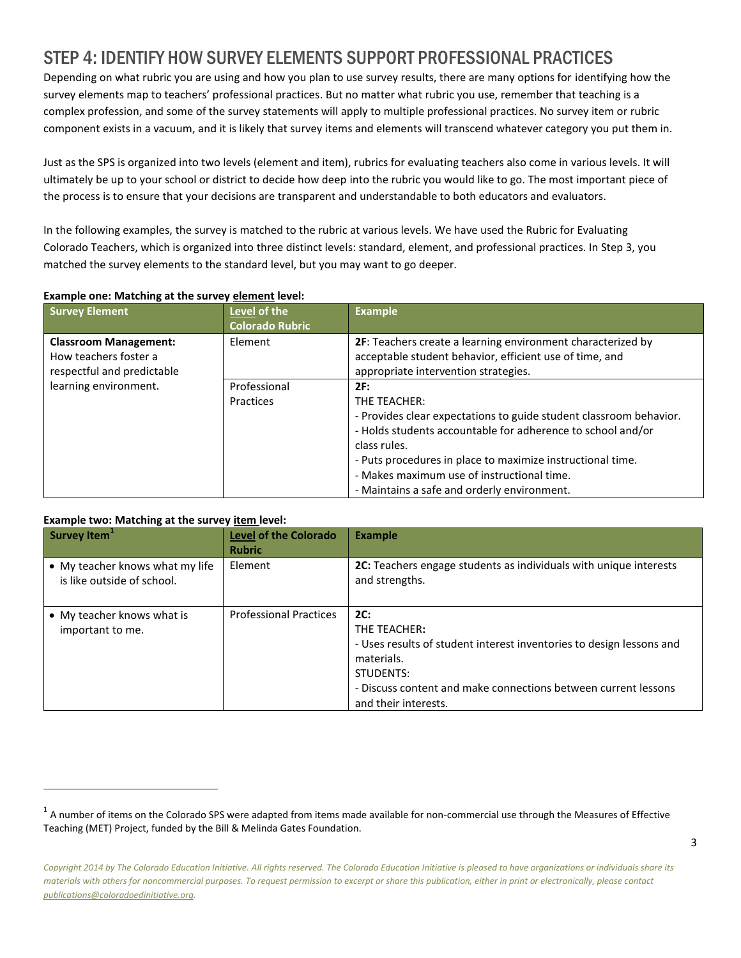## STEP 4: IDENTIFY HOW SURVEY ELEMENTS SUPPORT PROFESSIONAL PRACTICES

Depending on what rubric you are using and how you plan to use survey results, there are many options for identifying how the survey elements map to teachers' professional practices. But no matter what rubric you use, remember that teaching is a complex profession, and some of the survey statements will apply to multiple professional practices. No survey item or rubric component exists in a vacuum, and it is likely that survey items and elements will transcend whatever category you put them in.

Just as the SPS is organized into two levels (element and item), rubrics for evaluating teachers also come in various levels. It will ultimately be up to your school or district to decide how deep into the rubric you would like to go. The most important piece of the process is to ensure that your decisions are transparent and understandable to both educators and evaluators.

In the following examples, the survey is matched to the rubric at various levels. We have used the Rubric for Evaluating Colorado Teachers, which is organized into three distinct levels: standard, element, and professional practices. In Step 3, you matched the survey elements to the standard level, but you may want to go deeper.

| <b>Survey Element</b>                                                               | Level of the<br><b>Colorado Rubric</b> | <b>Example</b>                                                                                                                                                                                                                                                                                                                      |
|-------------------------------------------------------------------------------------|----------------------------------------|-------------------------------------------------------------------------------------------------------------------------------------------------------------------------------------------------------------------------------------------------------------------------------------------------------------------------------------|
| <b>Classroom Management:</b><br>How teachers foster a<br>respectful and predictable | Element                                | 2F: Teachers create a learning environment characterized by<br>acceptable student behavior, efficient use of time, and<br>appropriate intervention strategies.                                                                                                                                                                      |
| learning environment.                                                               | Professional<br>Practices              | 2F:<br>THE TEACHER:<br>- Provides clear expectations to guide student classroom behavior.<br>- Holds students accountable for adherence to school and/or<br>class rules.<br>- Puts procedures in place to maximize instructional time.<br>- Makes maximum use of instructional time.<br>- Maintains a safe and orderly environment. |

#### **Example one: Matching at the survey element level:**

 $\overline{a}$ 

| Example two: Matching at the survey item level:               |                               |                                                                                                                                                                                                                  |  |  |
|---------------------------------------------------------------|-------------------------------|------------------------------------------------------------------------------------------------------------------------------------------------------------------------------------------------------------------|--|--|
| Survey Item <sup>1</sup>                                      | <b>Level of the Colorado</b>  | <b>Example</b>                                                                                                                                                                                                   |  |  |
|                                                               | <b>Rubric</b>                 |                                                                                                                                                                                                                  |  |  |
| • My teacher knows what my life<br>is like outside of school. | Element                       | 2C: Teachers engage students as individuals with unique interests<br>and strengths.                                                                                                                              |  |  |
| • My teacher knows what is<br>important to me.                | <b>Professional Practices</b> | 2C:<br>THE TEACHER:<br>- Uses results of student interest inventories to design lessons and<br>materials.<br>STUDENTS:<br>- Discuss content and make connections between current lessons<br>and their interests. |  |  |

 $^1$  A number of items on the Colorado SPS were adapted from items made available for non-commercial use through the Measures of Effective Teaching (MET) Project, funded by the Bill & Melinda Gates Foundation.

*Copyright 2014 by The Colorado Education Initiative. All rights reserved. The Colorado Education Initiative is pleased to have organizations or individuals share its materials with others for noncommercial purposes. To request permission to excerpt or share this publication, either in print or electronically, please contact publications@coloradoedinitiative.org.*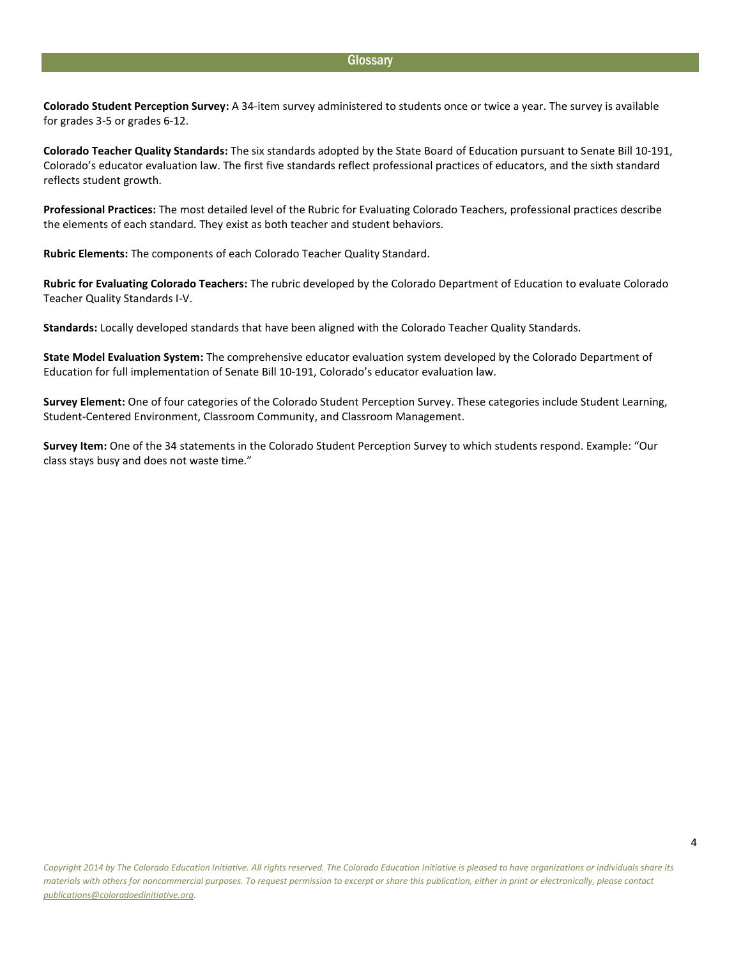#### **Glossary**

**Colorado Student Perception Survey:** A 34-item survey administered to students once or twice a year. The survey is available for grades 3-5 or grades 6-12.

**Colorado Teacher Quality Standards:** The six standards adopted by the State Board of Education pursuant to Senate Bill 10-191, Colorado's educator evaluation law. The first five standards reflect professional practices of educators, and the sixth standard reflects student growth.

**Professional Practices:** The most detailed level of the Rubric for Evaluating Colorado Teachers, professional practices describe the elements of each standard. They exist as both teacher and student behaviors.

**Rubric Elements:** The components of each Colorado Teacher Quality Standard.

**Rubric for Evaluating Colorado Teachers:** The rubric developed by the Colorado Department of Education to evaluate Colorado Teacher Quality Standards I-V.

**Standards:** Locally developed standards that have been aligned with the Colorado Teacher Quality Standards.

**State Model Evaluation System:** The comprehensive educator evaluation system developed by the Colorado Department of Education for full implementation of Senate Bill 10-191, Colorado's educator evaluation law.

**Survey Element:** One of four categories of the Colorado Student Perception Survey. These categories include Student Learning, Student-Centered Environment, Classroom Community, and Classroom Management.

**Survey Item:** One of the 34 statements in the Colorado Student Perception Survey to which students respond. Example: "Our class stays busy and does not waste time."

4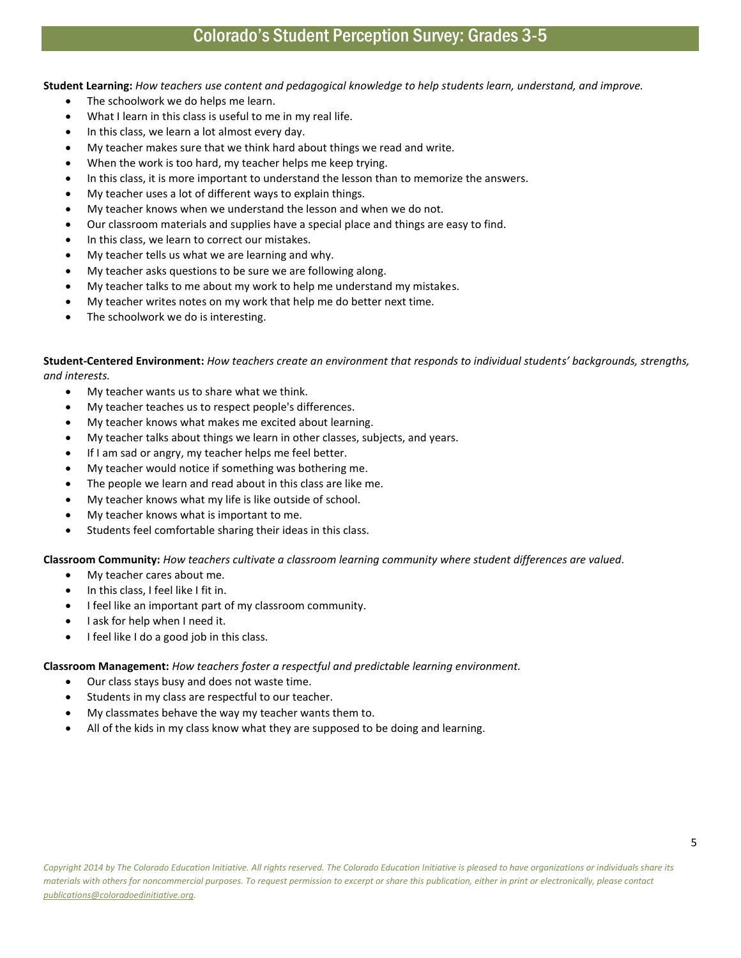### Colorado's Student Perception Survey: Grades 3-5

**Student Learning:** *How teachers use content and pedagogical knowledge to help students learn, understand, and improve.*

- The schoolwork we do helps me learn.
- What I learn in this class is useful to me in my real life.
- In this class, we learn a lot almost every day.
- My teacher makes sure that we think hard about things we read and write.
- When the work is too hard, my teacher helps me keep trying.
- In this class, it is more important to understand the lesson than to memorize the answers.
- My teacher uses a lot of different ways to explain things.
- My teacher knows when we understand the lesson and when we do not.
- Our classroom materials and supplies have a special place and things are easy to find.
- In this class, we learn to correct our mistakes.
- My teacher tells us what we are learning and why.
- My teacher asks questions to be sure we are following along.
- My teacher talks to me about my work to help me understand my mistakes.
- My teacher writes notes on my work that help me do better next time.
- The schoolwork we do is interesting.

**Student-Centered Environment:** *How teachers create an environment that responds to individual students' backgrounds, strengths, and interests.* 

- My teacher wants us to share what we think.
- My teacher teaches us to respect people's differences.
- My teacher knows what makes me excited about learning.
- My teacher talks about things we learn in other classes, subjects, and years.
- If I am sad or angry, my teacher helps me feel better.
- My teacher would notice if something was bothering me.
- The people we learn and read about in this class are like me.
- My teacher knows what my life is like outside of school.
- My teacher knows what is important to me.
- Students feel comfortable sharing their ideas in this class.

**Classroom Community:** *How teachers cultivate a classroom learning community where student differences are valued.*

- My teacher cares about me.
- In this class, I feel like I fit in.
- I feel like an important part of my classroom community.
- I ask for help when I need it.
- I feel like I do a good job in this class.

**Classroom Management:** *How teachers foster a respectful and predictable learning environment.* 

- Our class stays busy and does not waste time.
- Students in my class are respectful to our teacher.
- My classmates behave the way my teacher wants them to.
- All of the kids in my class know what they are supposed to be doing and learning.